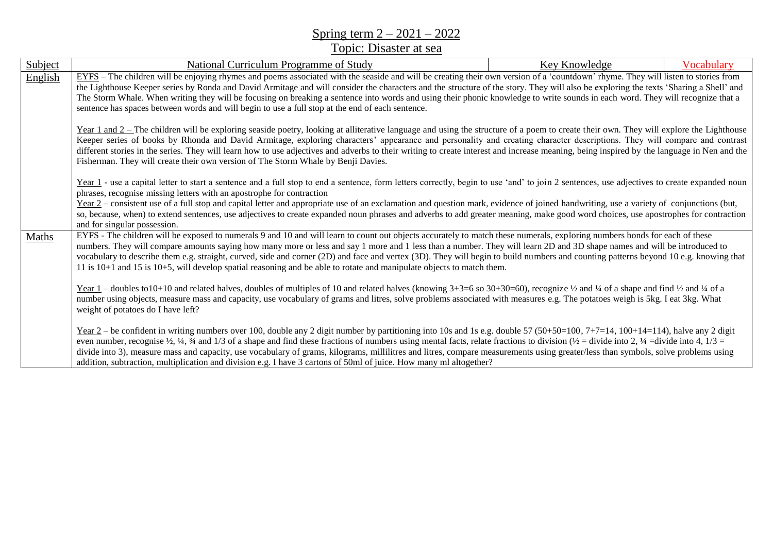## Spring term 2 – 2021 – 2022

## Topic: Disaster at sea

| Subject | National Curriculum Programme of Study                                                                                                                                                                                                                                                                                                                                                                                                                                                                                                                                                                                                                                                                                                                | Key Knowledge                                                                                                                                                                   | Vocabulary |  |
|---------|-------------------------------------------------------------------------------------------------------------------------------------------------------------------------------------------------------------------------------------------------------------------------------------------------------------------------------------------------------------------------------------------------------------------------------------------------------------------------------------------------------------------------------------------------------------------------------------------------------------------------------------------------------------------------------------------------------------------------------------------------------|---------------------------------------------------------------------------------------------------------------------------------------------------------------------------------|------------|--|
| English | EYFS – The children will be enjoying rhymes and poems associated with the seaside and will be creating their own version of a 'countdown' rhyme. They will listen to stories from                                                                                                                                                                                                                                                                                                                                                                                                                                                                                                                                                                     |                                                                                                                                                                                 |            |  |
|         | the Lighthouse Keeper series by Ronda and David Armitage and will consider the characters and the structure of the story. They will also be exploring the texts 'Sharing a Shell' and                                                                                                                                                                                                                                                                                                                                                                                                                                                                                                                                                                 |                                                                                                                                                                                 |            |  |
|         |                                                                                                                                                                                                                                                                                                                                                                                                                                                                                                                                                                                                                                                                                                                                                       | The Storm Whale. When writing they will be focusing on breaking a sentence into words and using their phonic knowledge to write sounds in each word. They will recognize that a |            |  |
|         | sentence has spaces between words and will begin to use a full stop at the end of each sentence.                                                                                                                                                                                                                                                                                                                                                                                                                                                                                                                                                                                                                                                      |                                                                                                                                                                                 |            |  |
|         | Year 1 and 2 - The children will be exploring seaside poetry, looking at alliterative language and using the structure of a poem to create their own. They will explore the Lighthouse<br>Keeper series of books by Rhonda and David Armitage, exploring characters' appearance and personality and creating character descriptions. They will compare and contrast<br>different stories in the series. They will learn how to use adjectives and adverbs to their writing to create interest and increase meaning, being inspired by the language in Nen and the<br>Fisherman. They will create their own version of The Storm Whale by Benji Davies.                                                                                                |                                                                                                                                                                                 |            |  |
|         | Year 1 - use a capital letter to start a sentence and a full stop to end a sentence, form letters correctly, begin to use 'and' to join 2 sentences, use adjectives to create expanded noun                                                                                                                                                                                                                                                                                                                                                                                                                                                                                                                                                           |                                                                                                                                                                                 |            |  |
|         | phrases, recognise missing letters with an apostrophe for contraction                                                                                                                                                                                                                                                                                                                                                                                                                                                                                                                                                                                                                                                                                 |                                                                                                                                                                                 |            |  |
|         | Year 2 – consistent use of a full stop and capital letter and appropriate use of an exclamation and question mark, evidence of joined handwriting, use a variety of conjunctions (but,                                                                                                                                                                                                                                                                                                                                                                                                                                                                                                                                                                |                                                                                                                                                                                 |            |  |
|         | so, because, when) to extend sentences, use adjectives to create expanded noun phrases and adverbs to add greater meaning, make good word choices, use apostrophes for contraction<br>and for singular possession.                                                                                                                                                                                                                                                                                                                                                                                                                                                                                                                                    |                                                                                                                                                                                 |            |  |
| Maths   | EYFS - The children will be exposed to numerals 9 and 10 and will learn to count out objects accurately to match these numerals, exploring numbers bonds for each of these                                                                                                                                                                                                                                                                                                                                                                                                                                                                                                                                                                            |                                                                                                                                                                                 |            |  |
|         | numbers. They will compare amounts saying how many more or less and say 1 more and 1 less than a number. They will learn 2D and 3D shape names and will be introduced to<br>vocabulary to describe them e.g. straight, curved, side and corner (2D) and face and vertex (3D). They will begin to build numbers and counting patterns beyond 10 e.g. knowing that<br>11 is 10+1 and 15 is 10+5, will develop spatial reasoning and be able to rotate and manipulate objects to match them.                                                                                                                                                                                                                                                             |                                                                                                                                                                                 |            |  |
|         | Year 1 – doubles to 10+10 and related halves, doubles of multiples of 10 and related halves (knowing $3+3=6$ so $30+30=60$ ), recognize $\frac{1}{2}$ and $\frac{1}{4}$ of a shape and find $\frac{1}{2}$ and $\frac{1}{4}$ of a<br>number using objects, measure mass and capacity, use vocabulary of grams and litres, solve problems associated with measures e.g. The potatoes weigh is 5kg. I eat 3kg. What<br>weight of potatoes do I have left?                                                                                                                                                                                                                                                                                                |                                                                                                                                                                                 |            |  |
|         | Year $2$ – be confident in writing numbers over 100, double any 2 digit number by partitioning into 10s and 1s e.g. double 57 (50+50=100, 7+7=14, 100+14=114), halve any 2 digit<br>even number, recognise $\frac{1}{2}$ , $\frac{1}{4}$ , $\frac{3}{4}$ and $\frac{1}{3}$ of a shape and find these fractions of numbers using mental facts, relate fractions to division ( $\frac{1}{2}$ = divide into 2, $\frac{1}{4}$ = divide into 4,<br>divide into 3), measure mass and capacity, use vocabulary of grams, kilograms, millilitres and litres, compare measurements using greater/less than symbols, solve problems using<br>addition, subtraction, multiplication and division e.g. I have 3 cartons of 50ml of juice. How many ml altogether? |                                                                                                                                                                                 |            |  |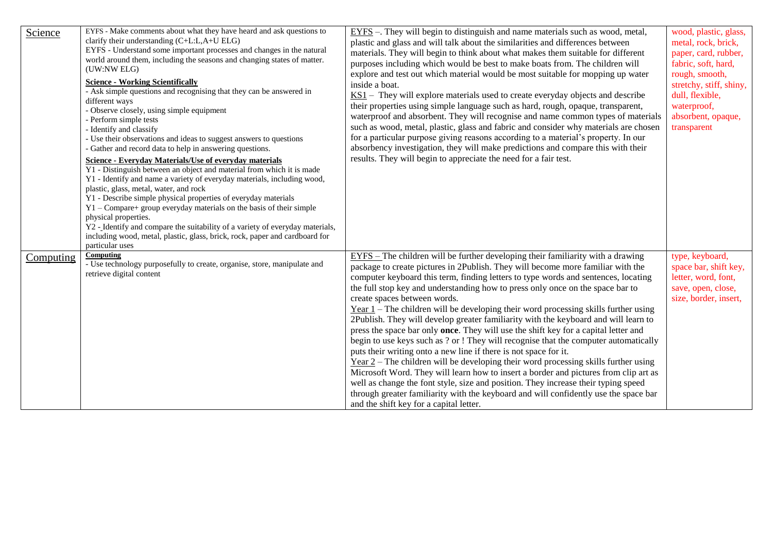| Science          | EYFS - Make comments about what they have heard and ask questions to                  | EYFS -. They will begin to distinguish and name materials such as wood, metal,              | wood, plastic, glass,   |
|------------------|---------------------------------------------------------------------------------------|---------------------------------------------------------------------------------------------|-------------------------|
|                  | clarify their understanding (C+L:L,A+U ELG)                                           | plastic and glass and will talk about the similarities and differences between              | metal, rock, brick,     |
|                  | EYFS - Understand some important processes and changes in the natural                 | materials. They will begin to think about what makes them suitable for different            | paper, card, rubber,    |
|                  | world around them, including the seasons and changing states of matter.               | purposes including which would be best to make boats from. The children will                | fabric, soft, hard,     |
|                  | (UW:NW ELG)                                                                           | explore and test out which material would be most suitable for mopping up water             | rough, smooth,          |
|                  | <b>Science - Working Scientifically</b>                                               | inside a boat.                                                                              | stretchy, stiff, shiny, |
|                  | - Ask simple questions and recognising that they can be answered in                   | $KS1$ – They will explore materials used to create everyday objects and describe            | dull, flexible,         |
|                  | different ways                                                                        | their properties using simple language such as hard, rough, opaque, transparent,            | waterproof,             |
|                  | - Observe closely, using simple equipment                                             | waterproof and absorbent. They will recognise and name common types of materials            |                         |
|                  | - Perform simple tests                                                                |                                                                                             | absorbent, opaque,      |
|                  | - Identify and classify                                                               | such as wood, metal, plastic, glass and fabric and consider why materials are chosen        | transparent             |
|                  | - Use their observations and ideas to suggest answers to questions                    | for a particular purpose giving reasons according to a material's property. In our          |                         |
|                  | - Gather and record data to help in answering questions.                              | absorbency investigation, they will make predictions and compare this with their            |                         |
|                  | <b>Science - Everyday Materials/Use of everyday materials</b>                         | results. They will begin to appreciate the need for a fair test.                            |                         |
|                  | $\overline{Y1}$ - Distinguish between an object and material from which it is made    |                                                                                             |                         |
|                  | Y1 - Identify and name a variety of everyday materials, including wood,               |                                                                                             |                         |
|                  | plastic, glass, metal, water, and rock                                                |                                                                                             |                         |
|                  | Y1 - Describe simple physical properties of everyday materials                        |                                                                                             |                         |
|                  | Y1 - Compare+ group everyday materials on the basis of their simple                   |                                                                                             |                         |
|                  | physical properties.                                                                  |                                                                                             |                         |
|                  | Y2 - Identify and compare the suitability of a variety of everyday materials,         |                                                                                             |                         |
|                  | including wood, metal, plastic, glass, brick, rock, paper and cardboard for           |                                                                                             |                         |
|                  | particular uses                                                                       |                                                                                             |                         |
| <b>Computing</b> | Computing<br>- Use technology purposefully to create, organise, store, manipulate and | EYFS – The children will be further developing their familiarity with a drawing             | type, keyboard,         |
|                  | retrieve digital content                                                              | package to create pictures in 2Publish. They will become more familiar with the             | space bar, shift key,   |
|                  |                                                                                       | computer keyboard this term, finding letters to type words and sentences, locating          | letter, word, font,     |
|                  |                                                                                       | the full stop key and understanding how to press only once on the space bar to              | save, open, close,      |
|                  |                                                                                       | create spaces between words.                                                                | size, border, insert,   |
|                  |                                                                                       | $Year 1 - The children will be developing their word processing skills further using$       |                         |
|                  |                                                                                       | 2Publish. They will develop greater familiarity with the keyboard and will learn to         |                         |
|                  |                                                                                       | press the space bar only <b>once</b> . They will use the shift key for a capital letter and |                         |
|                  |                                                                                       | begin to use keys such as ? or ! They will recognise that the computer automatically        |                         |
|                  |                                                                                       | puts their writing onto a new line if there is not space for it.                            |                         |
|                  |                                                                                       | $Year 2 - The children will be developing their word processing skills further using$       |                         |
|                  |                                                                                       | Microsoft Word. They will learn how to insert a border and pictures from clip art as        |                         |
|                  |                                                                                       | well as change the font style, size and position. They increase their typing speed          |                         |
|                  |                                                                                       | through greater familiarity with the keyboard and will confidently use the space bar        |                         |
|                  |                                                                                       |                                                                                             |                         |
|                  |                                                                                       | and the shift key for a capital letter.                                                     |                         |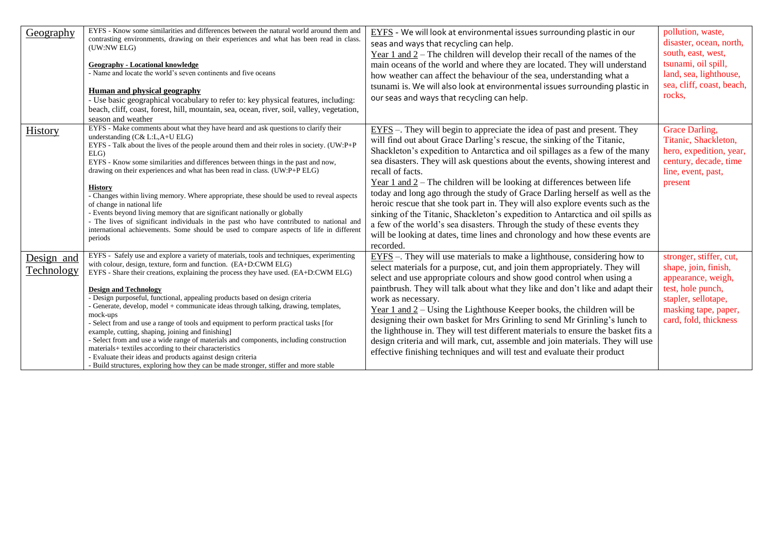| Geography                       | EYFS - Know some similarities and differences between the natural world around them and<br>contrasting environments, drawing on their experiences and what has been read in class.<br>(UW:NW ELG)<br><b>Geography - Locational knowledge</b><br>- Name and locate the world's seven continents and five oceans<br><b>Human and physical geography</b><br>- Use basic geographical vocabulary to refer to: key physical features, including:<br>beach, cliff, coast, forest, hill, mountain, sea, ocean, river, soil, valley, vegetation,<br>season and weather                                                                                                                                                                                                                                                                                                                                                                 | $EYFS$ - We will look at environmental issues surrounding plastic in our<br>seas and ways that recycling can help.<br>Year 1 and $2$ – The children will develop their recall of the names of the<br>main oceans of the world and where they are located. They will understand<br>how weather can affect the behaviour of the sea, understanding what a<br>tsunami is. We will also look at environmental issues surrounding plastic in<br>our seas and ways that recycling can help.                                                                                                                                                                                                                                                                                                                                                                     | pollution, waste,<br>disaster, ocean, north,<br>south, east, west,<br>tsunami, oil spill,<br>land, sea, lighthouse,<br>sea, cliff, coast, beach,<br>rocks,         |
|---------------------------------|--------------------------------------------------------------------------------------------------------------------------------------------------------------------------------------------------------------------------------------------------------------------------------------------------------------------------------------------------------------------------------------------------------------------------------------------------------------------------------------------------------------------------------------------------------------------------------------------------------------------------------------------------------------------------------------------------------------------------------------------------------------------------------------------------------------------------------------------------------------------------------------------------------------------------------|-----------------------------------------------------------------------------------------------------------------------------------------------------------------------------------------------------------------------------------------------------------------------------------------------------------------------------------------------------------------------------------------------------------------------------------------------------------------------------------------------------------------------------------------------------------------------------------------------------------------------------------------------------------------------------------------------------------------------------------------------------------------------------------------------------------------------------------------------------------|--------------------------------------------------------------------------------------------------------------------------------------------------------------------|
| <b>History</b>                  | EYFS - Make comments about what they have heard and ask questions to clarify their<br>understanding $(C&L:L,A+UELG)$<br>EYFS - Talk about the lives of the people around them and their roles in society. (UW:P+P<br>ELG<br>EYFS - Know some similarities and differences between things in the past and now,<br>drawing on their experiences and what has been read in class. (UW:P+P ELG)<br><b>History</b><br>- Changes within living memory. Where appropriate, these should be used to reveal aspects<br>of change in national life<br>- Events beyond living memory that are significant nationally or globally<br>- The lives of significant individuals in the past who have contributed to national and<br>international achievements. Some should be used to compare aspects of life in different<br>periods                                                                                                         | $EYFS$ –. They will begin to appreciate the idea of past and present. They<br>will find out about Grace Darling's rescue, the sinking of the Titanic,<br>Shackleton's expedition to Antarctica and oil spillages as a few of the many<br>sea disasters. They will ask questions about the events, showing interest and<br>recall of facts.<br>Year $1$ and $2$ – The children will be looking at differences between life<br>today and long ago through the study of Grace Darling herself as well as the<br>heroic rescue that she took part in. They will also explore events such as the<br>sinking of the Titanic, Shackleton's expedition to Antarctica and oil spills as<br>a few of the world's sea disasters. Through the study of these events they<br>will be looking at dates, time lines and chronology and how these events are<br>recorded. | Grace Darling,<br>Titanic, Shackleton,<br>hero, expedition, year,<br>century, decade, time<br>line, event, past,<br>present                                        |
| Design and<br><u>Technology</u> | EYFS - Safely use and explore a variety of materials, tools and techniques, experimenting<br>with colour, design, texture, form and function. (EA+D:CWM ELG)<br>EYFS - Share their creations, explaining the process they have used. (EA+D:CWM ELG)<br><b>Design and Technology</b><br>- Design purposeful, functional, appealing products based on design criteria<br>- Generate, develop, model + communicate ideas through talking, drawing, templates,<br>mock-ups<br>- Select from and use a range of tools and equipment to perform practical tasks [for<br>example, cutting, shaping, joining and finishing]<br>- Select from and use a wide range of materials and components, including construction<br>materials+ textiles according to their characteristics<br>- Evaluate their ideas and products against design criteria<br>- Build structures, exploring how they can be made stronger, stiffer and more stable | $EYFS$ –. They will use materials to make a lighthouse, considering how to<br>select materials for a purpose, cut, and join them appropriately. They will<br>select and use appropriate colours and show good control when using a<br>paintbrush. They will talk about what they like and don't like and adapt their<br>work as necessary.<br>Year $1$ and $2$ – Using the Lighthouse Keeper books, the children will be<br>designing their own basket for Mrs Grinling to send Mr Grinling's lunch to<br>the lighthouse in. They will test different materials to ensure the basket fits a<br>design criteria and will mark, cut, assemble and join materials. They will use<br>effective finishing techniques and will test and evaluate their product                                                                                                  | stronger, stiffer, cut,<br>shape, join, finish,<br>appearance, weigh,<br>test, hole punch,<br>stapler, sellotape,<br>masking tape, paper,<br>card, fold, thickness |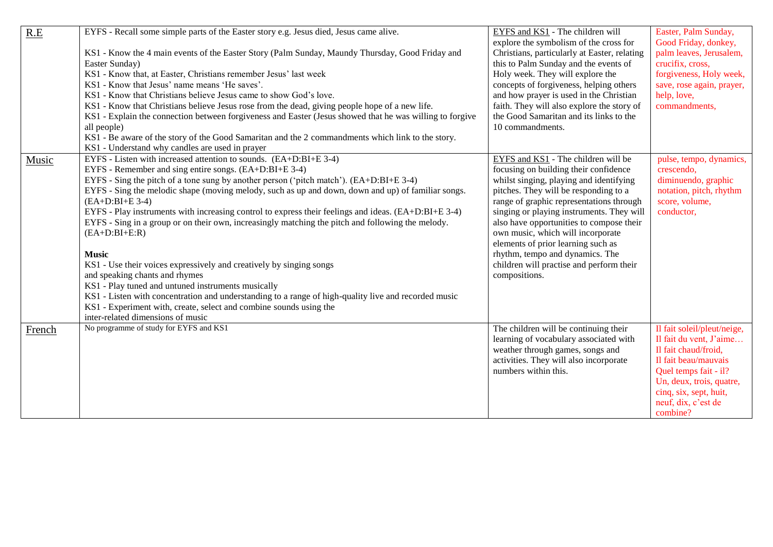| R.E    | EYFS - Recall some simple parts of the Easter story e.g. Jesus died, Jesus came alive.                   | EYFS and KS1 - The children will             | Easter, Palm Sunday,        |
|--------|----------------------------------------------------------------------------------------------------------|----------------------------------------------|-----------------------------|
|        |                                                                                                          | explore the symbolism of the cross for       | Good Friday, donkey,        |
|        | KS1 - Know the 4 main events of the Easter Story (Palm Sunday, Maundy Thursday, Good Friday and          | Christians, particularly at Easter, relating | palm leaves, Jerusalem,     |
|        | Easter Sunday)                                                                                           | this to Palm Sunday and the events of        | crucifix, cross,            |
|        | KS1 - Know that, at Easter, Christians remember Jesus' last week                                         | Holy week. They will explore the             | forgiveness, Holy week,     |
|        | KS1 - Know that Jesus' name means 'He saves'.                                                            | concepts of forgiveness, helping others      | save, rose again, prayer,   |
|        | KS1 - Know that Christians believe Jesus came to show God's love.                                        | and how prayer is used in the Christian      | help, love,                 |
|        | KS1 - Know that Christians believe Jesus rose from the dead, giving people hope of a new life.           | faith. They will also explore the story of   | commandments,               |
|        | KS1 - Explain the connection between forgiveness and Easter (Jesus showed that he was willing to forgive | the Good Samaritan and its links to the      |                             |
|        | all people)                                                                                              | 10 commandments.                             |                             |
|        | KS1 - Be aware of the story of the Good Samaritan and the 2 commandments which link to the story.        |                                              |                             |
|        | KS1 - Understand why candles are used in prayer                                                          |                                              |                             |
| Music  | EYFS - Listen with increased attention to sounds. (EA+D:BI+E 3-4)                                        | EYFS and KS1 - The children will be          | pulse, tempo, dynamics,     |
|        | EYFS - Remember and sing entire songs. (EA+D:BI+E 3-4)                                                   | focusing on building their confidence        | crescendo,                  |
|        | EYFS - Sing the pitch of a tone sung by another person ('pitch match'). $(EA+D:BI+E 3-4)$                | whilst singing, playing and identifying      | diminuendo, graphic         |
|        | EYFS - Sing the melodic shape (moving melody, such as up and down, down and up) of familiar songs.       | pitches. They will be responding to a        | notation, pitch, rhythm     |
|        | $(EA+D:BI+E 3-4)$                                                                                        | range of graphic representations through     | score, volume,              |
|        | EYFS - Play instruments with increasing control to express their feelings and ideas. (EA+D:BI+E 3-4)     | singing or playing instruments. They will    | conductor,                  |
|        | EYFS - Sing in a group or on their own, increasingly matching the pitch and following the melody.        | also have opportunities to compose their     |                             |
|        | $(EA+D:BI+E:R)$                                                                                          | own music, which will incorporate            |                             |
|        |                                                                                                          | elements of prior learning such as           |                             |
|        | <b>Music</b>                                                                                             | rhythm, tempo and dynamics. The              |                             |
|        | KS1 - Use their voices expressively and creatively by singing songs                                      | children will practise and perform their     |                             |
|        | and speaking chants and rhymes                                                                           | compositions.                                |                             |
|        | KS1 - Play tuned and untuned instruments musically                                                       |                                              |                             |
|        | KS1 - Listen with concentration and understanding to a range of high-quality live and recorded music     |                                              |                             |
|        | KS1 - Experiment with, create, select and combine sounds using the                                       |                                              |                             |
|        | inter-related dimensions of music                                                                        |                                              |                             |
| French | No programme of study for EYFS and KS1                                                                   | The children will be continuing their        | Il fait soleil/pleut/neige, |
|        |                                                                                                          | learning of vocabulary associated with       | Il fait du vent, J'aime     |
|        |                                                                                                          | weather through games, songs and             | Il fait chaud/froid,        |
|        |                                                                                                          | activities. They will also incorporate       | Il fait beau/mauvais        |
|        |                                                                                                          | numbers within this.                         | Quel temps fait - il?       |
|        |                                                                                                          |                                              | Un, deux, trois, quatre,    |
|        |                                                                                                          |                                              | cinq, six, sept, huit,      |
|        |                                                                                                          |                                              | neuf, dix, c'est de         |
|        |                                                                                                          |                                              | combine?                    |